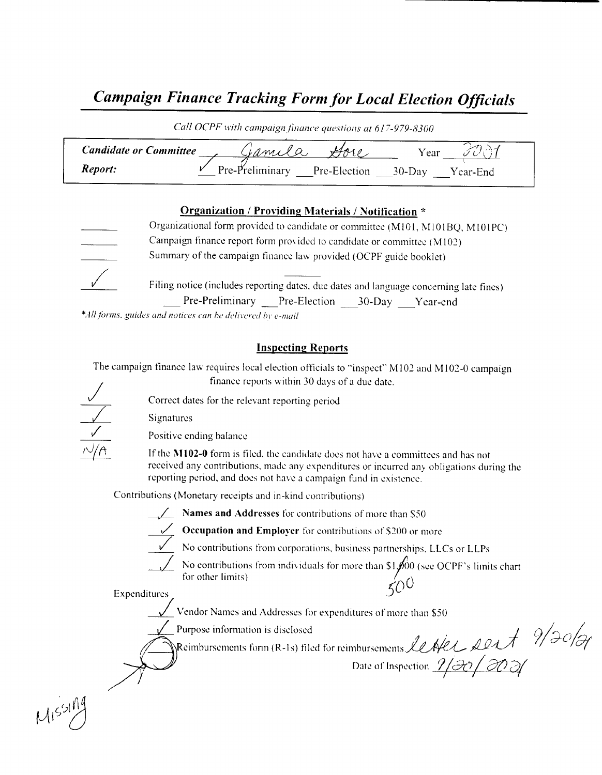# Campaign Finance Tracking Form for Local Election Officials

Call OCPF with campaign finance questions at 617-979-8300

| <b>Candidate or Committee</b> | $1.1 \, m1 \times Q$         | r ear                 |
|-------------------------------|------------------------------|-----------------------|
| Report:                       | Pre-Preliminary Pre-Election | $30$ -Day<br>Year-End |

### Organization / Providing Materials / Notification \*

Organizational form provided to candidate or committee (M101, M101BQ, M101PC) Campaign finance report form pros ided to candidate or committee ( M 102) Summary of the campaign finance law provided( OCPF guide booklet)

Filing notice (includes reporting dates, due dates and language concerning late fines) Pre-Preliminary Pre-Election 30-Day Year-end

\*All forms, guides and notices can be delivered by e-mail

## Inspecting Reports

The campaign finance law requires local election officials to "inspect" M102 and M102-0 campaign finance reports within 30 days of <sup>a</sup> due date.

Correct dates for the relevant reporting period

Signatures



Positive ending balance

If the M102-0 form is filed, the candidate does not have a committees and has not received any contributions, made any expenditures or incurred any obligations during the reporting period, and does not have a campaign fund in existence.

Contributions ( Monetary receipts and in- kind contributions)

 $\frac{1}{2}$  Names and Addresses for contributions of more than S50



**Occupation and Employer** for contributions of  $$200$  or more

No contributions from corporations, business partnerships, LLCs or LLPs

No contributions from individuals for more than  $$1,000$  (see OCPF's limits chart for other limits)

Expenditures  $50'$ 

Vendor Names and Addresses for expenditures of more than S50

Purpose information is disclosed

 $\mathcal{F}^{(1)}$ Reimbursements form (R-1s) filed for reimbursements LeAle Lort (1904 cDate of Inspection  $1/30/20$ 

 $M$  $s$ s $\frac{M}{2}$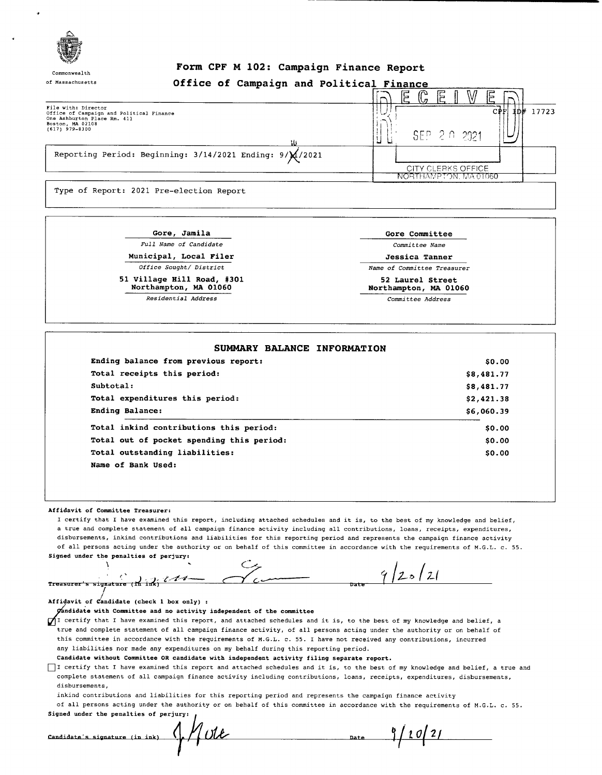

Commonwealth

### Form CPF <sup>M</sup> 102: Campaign Finance Report

| of Massachusetts                                                                                                                       |  | Office of Campaign and Political Finance |                                                  |   |              |   |       |
|----------------------------------------------------------------------------------------------------------------------------------------|--|------------------------------------------|--------------------------------------------------|---|--------------|---|-------|
|                                                                                                                                        |  |                                          | 느                                                | g |              | G |       |
| File with: Director<br>Office of Campaign and Political Finance<br>One Ashburton Place Rm. 411<br>Boston, MA 02108<br>$(617)$ 979-8300 |  |                                          |                                                  |   | SEP 2 0 2021 |   | 17723 |
| Reporting Period: Beginning: $3/14/2021$ Ending: $9/\cancel{14}/2021$                                                                  |  |                                          |                                                  |   |              |   |       |
|                                                                                                                                        |  |                                          | <b>CITY CLERKS OFFICE</b><br>NORTHAMPTON MA01060 |   |              |   |       |
| Type of Report: 2021 Pre-election Report                                                                                               |  |                                          |                                                  |   |              |   |       |

Gore, Jamila Gore, Gore Committee Full Name of Candidate **Committee Name** Municipal, Local Filer Government Construction of Jessica Tanner

51 Village Hill Road, #301 52 Laurel Street<br>Northampton, MA 01060 52 Northampton, MA 01060 Northampton, MA 01060

Office Sought/ District Name of Committee Treasurer

Residential Address Committee Address

| Ending balance from previous report:      | \$0.00     |
|-------------------------------------------|------------|
| Total receipts this period:               | \$8,481.77 |
| Subtotal:                                 | \$8,481.77 |
| Total expenditures this period:           | \$2,421.38 |
| <b>Ending Balance:</b>                    | \$6,060.39 |
| Total inkind contributions this period:   | \$0.00     |
| Total out of pocket spending this period: | \$0.00     |
| Total outstanding liabilities:            | \$0.00     |
| Name of Bank Used:                        |            |

#### Affidavit of Committee Treasurer:

I certify that <sup>I</sup> have examined this report, including attached schedules and it is, to the best of my knowledge and belief, <sup>a</sup> true and complete statement of all campaign finance activity including all contributions, loans, receipts, expenditures, disbursements, inkind contributions and liabilities for this reporting period and represents the campaign finance activity of all persons acting under the authority or on behalf of this committee in accordance with the requirements of M. G. L. c. 55. Signed under the penalties of perjury:

 $9|25|21$ Treasurer's signature (14 in

Affidavit of  $C$ andidate (check 1 box only) :

ndidate with Committee and no activity independent of the committee

 $\int$ I certify that I have examined this report, and attached schedules and it is, to the best of my knowledge and belief, a true and complete statement of all campaign finance activity, of all persons acting under the authority or on behalf of this committee in accordance with the requirements of M.G.L. c. 55. I have not received any contributions, incurred any liabilities nor made any expenditures on my behalf during this reporting period.

Candidate without Committee OR candidate with independent activity filing separate report.

I certify that I have examined this report and attached schedules and it is, to the best of my knowledge and belief, a true and complete statement of all campaign finance activity including contributions, loans, receipts, expenditures, disbursements, disbursements,

inkind contributions and liabilities for this reporting period and represents the campaign finance activity

of all persons acting under the authority or on behalf of this committee in accordance with the requirements of M. G. L. c. 55. Signed under the penalties of perjury:  $/$ 

| Candidate's signature (in ink) | ี ที | .<br>Date |
|--------------------------------|------|-----------|
|                                |      |           |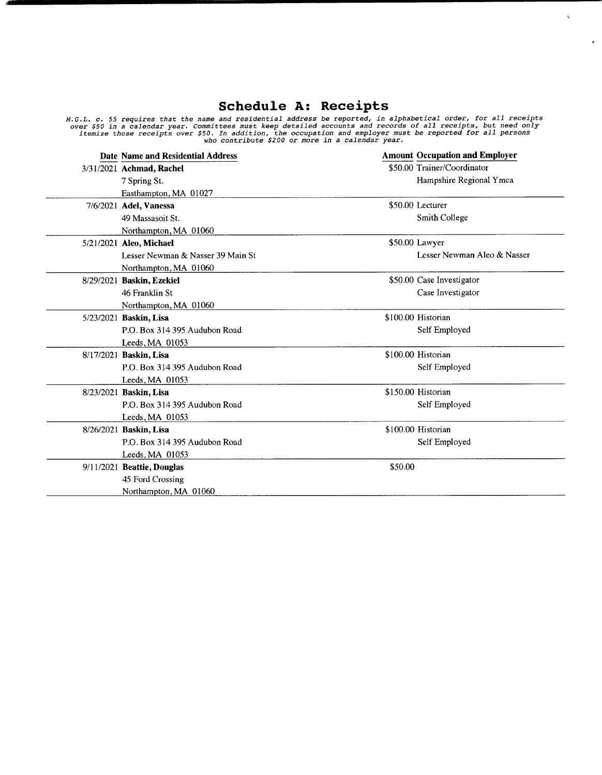## Schedule A: Receipts

 $\mathbf{t}^{\top}$ 

 $\ddot{\bullet}$ 

M.G.L. c. 55 requires that the name and residential address be reported, in alphabetical order, for all receipts<br>over \$50 in a calendar year. Committees must keep detailed accounts and records of all receipts, but need onl

| Date Name and Residential Address |         | <b>Amount Occupation and Employer</b> |
|-----------------------------------|---------|---------------------------------------|
| 3/31/2021 Achmad, Rachel          |         | \$50.00 Trainer/Coordinator           |
| 7 Spring St.                      |         | Hampshire Regional Ymca               |
| Easthampton, MA 01027             |         |                                       |
| 7/6/2021 Adel, Vanessa            |         | \$50.00 Lecturer                      |
| 49 Massasoit St.                  |         | <b>Smith College</b>                  |
| Northampton, MA 01060             |         |                                       |
| 5/21/2021 Aleo, Michael           |         | \$50.00 Lawyer                        |
| Lesser Newman & Nasser 39 Main St |         | Lesser Newman Aleo & Nasser           |
| Northampton, MA 01060             |         |                                       |
| 8/29/2021 Baskin, Ezekiel         |         | \$50.00 Case Investigator             |
| 46 Franklin St                    |         | Case Investigator                     |
| Northampton, MA 01060             |         |                                       |
| 5/23/2021 Baskin, Lisa            |         | \$100.00 Historian                    |
| P.O. Box 314 395 Audubon Road     |         | Self Employed                         |
| Leeds, MA 01053                   |         |                                       |
| 8/17/2021 Baskin, Lisa            |         | \$100.00 Historian                    |
| P.O. Box 314 395 Audubon Road     |         | Self Employed                         |
| Leeds, MA 01053                   |         |                                       |
| 8/23/2021 Baskin, Lisa            |         | \$150.00 Historian                    |
| P.O. Box 314 395 Audubon Road     |         | Self Employed                         |
| Leeds, MA 01053                   |         |                                       |
| 8/26/2021 Baskin, Lisa            |         | \$100.00 Historian                    |
| P.O. Box 314 395 Audubon Road     |         | Self Employed                         |
| Leeds, MA $01053$                 |         |                                       |
| 9/11/2021 Beattie, Douglas        | \$50.00 |                                       |
| 45 Ford Crossing                  |         |                                       |
| Northampton, MA 01060             |         |                                       |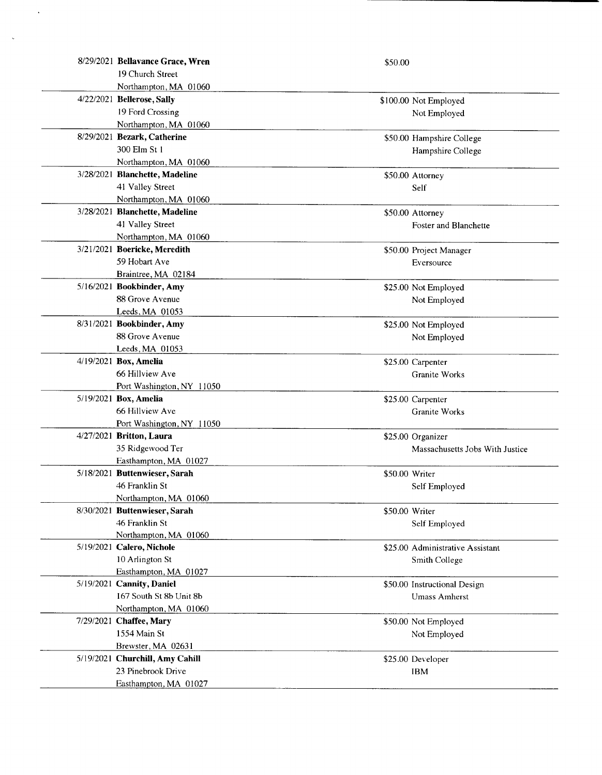| 8/29/2021 Bellavance Grace, Wren | \$50.00        |                                  |
|----------------------------------|----------------|----------------------------------|
| 19 Church Street                 |                |                                  |
| Northampton, MA 01060            |                |                                  |
| 4/22/2021 Bellerose, Sally       |                | \$100.00 Not Employed            |
| 19 Ford Crossing                 |                | Not Employed                     |
| Northampton, MA 01060            |                |                                  |
| 8/29/2021 Bezark, Catherine      |                | \$50.00 Hampshire College        |
| 300 Elm St 1                     |                | Hampshire College                |
| Northampton, MA 01060            |                |                                  |
| 3/28/2021 Blanchette, Madeline   |                | \$50.00 Attorney                 |
| 41 Valley Street                 |                | Self                             |
| Northampton, MA 01060            |                |                                  |
| 3/28/2021 Blanchette, Madeline   |                |                                  |
|                                  |                | \$50.00 Attorney                 |
| 41 Valley Street                 |                | Foster and Blanchette            |
| Northampton, MA 01060            |                |                                  |
| 3/21/2021 Boericke, Meredith     |                | \$50.00 Project Manager          |
| 59 Hobart Ave                    |                | Eversource                       |
| Braintree, MA 02184              |                |                                  |
| 5/16/2021 Bookbinder, Amy        |                | \$25.00 Not Employed             |
| 88 Grove Avenue                  |                | Not Employed                     |
| Leeds, MA 01053                  |                |                                  |
| 8/31/2021 Bookbinder, Amy        |                | \$25.00 Not Employed             |
| 88 Grove Avenue                  |                | Not Employed                     |
| Leeds, MA 01053                  |                |                                  |
| 4/19/2021 Box, Amelia            |                | \$25.00 Carpenter                |
| 66 Hillview Ave                  |                | Granite Works                    |
| Port Washington, NY 11050        |                |                                  |
| 5/19/2021 Box, Amelia            |                | \$25.00 Carpenter                |
| 66 Hillview Ave                  |                | Granite Works                    |
| Port Washington, NY 11050        |                |                                  |
| 4/27/2021 Britton, Laura         |                | \$25.00 Organizer                |
| 35 Ridgewood Ter                 |                | Massachusetts Jobs With Justice  |
| Easthampton, MA 01027            |                |                                  |
| 5/18/2021 Buttenwieser, Sarah    | \$50.00 Writer |                                  |
| 46 Franklin St                   |                | Self Employed                    |
| Northampton, MA 01060            |                |                                  |
| 8/30/2021 Buttenwieser, Sarah    | \$50.00 Writer |                                  |
| 46 Franklin St                   |                | Self Employed                    |
| Northampton, MA 01060            |                |                                  |
| 5/19/2021 Calero, Nichole        |                | \$25.00 Administrative Assistant |
| 10 Arlington St                  |                | Smith College                    |
| Easthampton, MA 01027            |                |                                  |
| 5/19/2021 Cannity, Daniel        |                | \$50.00 Instructional Design     |
| 167 South St 8b Unit 8b          |                | <b>Umass Amherst</b>             |
| Northampton, MA 01060            |                |                                  |
| 7/29/2021 Chaffee, Mary          |                | \$50.00 Not Employed             |
| 1554 Main St                     |                | Not Employed                     |
| Brewster, MA 02631               |                |                                  |
| 5/19/2021 Churchill, Amy Cahill  |                | \$25.00 Developer                |
| 23 Pinebrook Drive               |                | <b>IBM</b>                       |
| Easthampton, MA 01027            |                |                                  |
|                                  |                |                                  |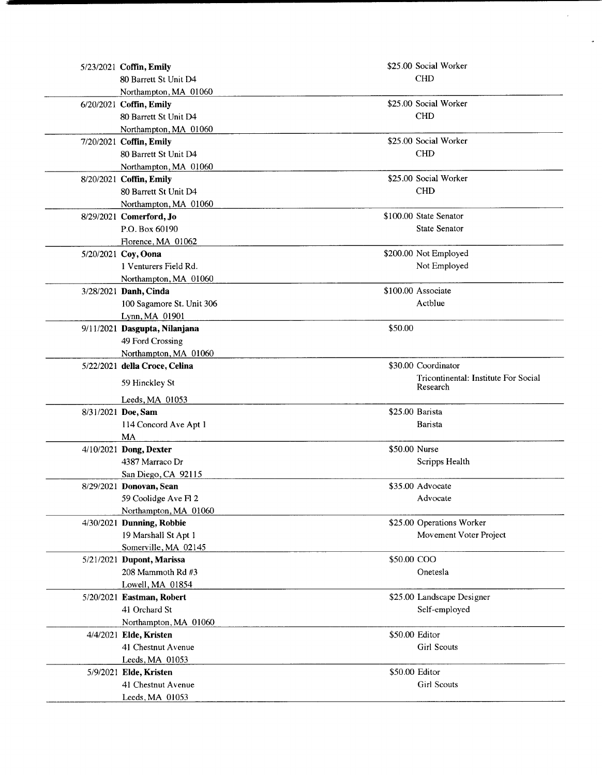| 5/23/2021 Coffin, Emily       |                | \$25.00 Social Worker                |
|-------------------------------|----------------|--------------------------------------|
| 80 Barrett St Unit D4         |                | <b>CHD</b>                           |
| Northampton, MA 01060         |                |                                      |
| 6/20/2021 Coffin, Emily       |                | \$25.00 Social Worker                |
| 80 Barrett St Unit D4         |                | <b>CHD</b>                           |
| Northampton, MA 01060         |                |                                      |
| 7/20/2021 Coffin, Emily       |                | \$25.00 Social Worker                |
| 80 Barrett St Unit D4         |                | <b>CHD</b>                           |
| Northampton, MA 01060         |                |                                      |
| 8/20/2021 Coffin, Emily       |                | \$25.00 Social Worker                |
| 80 Barrett St Unit D4         |                | <b>CHD</b>                           |
| Northampton, MA 01060         |                |                                      |
| 8/29/2021 Comerford, Jo       |                | \$100.00 State Senator               |
| P.O. Box 60190                |                | <b>State Senator</b>                 |
| Florence, MA 01062            |                |                                      |
| 5/20/2021 Coy, Oona           |                | \$200.00 Not Employed                |
| 1 Venturers Field Rd.         |                | Not Employed                         |
| Northampton, MA 01060         |                |                                      |
| 3/28/2021 Danh, Cinda         |                | \$100.00 Associate                   |
| 100 Sagamore St. Unit 306     |                | Actblue                              |
| Lynn, MA 01901                |                |                                      |
| 9/11/2021 Dasgupta, Nilanjana | \$50.00        |                                      |
| 49 Ford Crossing              |                |                                      |
| Northampton, MA 01060         |                |                                      |
| 5/22/2021 della Croce, Celina |                | \$30.00 Coordinator                  |
|                               |                | Tricontinental: Institute For Social |
| 59 Hinckley St                |                | Research                             |
| Leeds, MA 01053               |                |                                      |
| 8/31/2021 Doe, Sam            |                | \$25.00 Barista                      |
| 114 Concord Ave Apt 1         |                | Barista                              |
| MA                            |                |                                      |
| 4/10/2021 Dong, Dexter        | \$50.00 Nurse  |                                      |
| 4387 Marraco Dr               |                | Scripps Health                       |
| San Diego, CA 92115           |                |                                      |
| 8/29/2021 Donovan, Sean       |                | \$35.00 Advocate                     |
| 59 Coolidge Ave Fl 2          |                | Advocate                             |
| Northampton, MA 01060         |                |                                      |
| 4/30/2021 Dunning, Robbie     |                | \$25.00 Operations Worker            |
| 19 Marshall St Apt 1          |                | Movement Voter Project               |
| Somerville, MA 02145          |                |                                      |
| 5/21/2021 Dupont, Marissa     | \$50.00 COO    |                                      |
| 208 Mammoth Rd #3             |                | Onetesla                             |
| Lowell, MA 01854              |                |                                      |
| 5/20/2021 Eastman, Robert     |                | \$25.00 Landscape Designer           |
| 41 Orchard St                 |                | Self-employed                        |
| Northampton, MA 01060         |                |                                      |
| 4/4/2021 Elde, Kristen        | \$50.00 Editor |                                      |
| 41 Chestnut Avenue            |                | <b>Girl Scouts</b>                   |
| Leeds, MA 01053               |                |                                      |
| 5/9/2021 Elde, Kristen        | \$50.00 Editor |                                      |
| 41 Chestnut Avenue            |                | <b>Girl Scouts</b>                   |
| Leeds, MA 01053               |                |                                      |

 $\bar{\bar{z}}$ 

 $\ddot{\bullet}$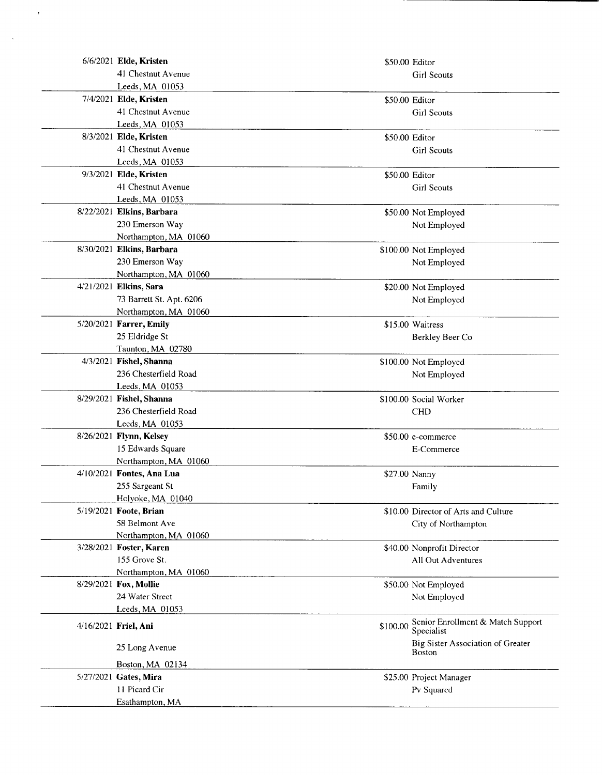| 6/6/2021 Elde, Kristen                     |                | \$50.00 Editor                                     |
|--------------------------------------------|----------------|----------------------------------------------------|
| 41 Chestnut Avenue                         |                | <b>Girl Scouts</b>                                 |
| Leeds, MA 01053                            |                |                                                    |
| 7/4/2021 Elde, Kristen                     | \$50.00 Editor |                                                    |
| 41 Chestnut Avenue                         |                | <b>Girl Scouts</b>                                 |
| Leeds, MA 01053                            |                |                                                    |
| 8/3/2021 Elde, Kristen                     | \$50.00 Editor |                                                    |
| 41 Chestnut Avenue                         |                | <b>Girl Scouts</b>                                 |
| Leeds, MA 01053                            |                |                                                    |
| 9/3/2021 Elde, Kristen                     | \$50.00 Editor |                                                    |
| 41 Chestnut Avenue                         |                | <b>Girl Scouts</b>                                 |
| Leeds, MA 01053                            |                |                                                    |
| 8/22/2021 Elkins, Barbara                  |                | \$50.00 Not Employed                               |
| 230 Emerson Way                            |                | Not Employed                                       |
| Northampton, MA 01060                      |                |                                                    |
| 8/30/2021 Elkins, Barbara                  |                | \$100.00 Not Employed                              |
| 230 Emerson Way                            |                | Not Employed                                       |
| Northampton, MA 01060                      |                |                                                    |
| 4/21/2021 Elkins, Sara                     |                | \$20.00 Not Employed                               |
| 73 Barrett St. Apt. 6206                   |                | Not Employed                                       |
| Northampton, MA 01060                      |                |                                                    |
| 5/20/2021 Farrer, Emily                    |                | \$15.00 Waitress                                   |
| 25 Eldridge St                             |                | Berkley Beer Co                                    |
| Taunton, MA 02780                          |                |                                                    |
| 4/3/2021 Fishel, Shanna                    |                | \$100.00 Not Employed                              |
| 236 Chesterfield Road                      |                |                                                    |
| Leeds, MA 01053                            |                | Not Employed                                       |
| 8/29/2021 Fishel, Shanna                   |                | \$100.00 Social Worker                             |
| 236 Chesterfield Road                      |                | <b>CHD</b>                                         |
| Leeds, MA 01053                            |                |                                                    |
| 8/26/2021 Flynn, Kelsey                    |                |                                                    |
|                                            |                | \$50.00 e-commerce<br>E-Commerce                   |
| 15 Edwards Square<br>Northampton, MA 01060 |                |                                                    |
| 4/10/2021 Fontes, Ana Lua                  |                |                                                    |
|                                            | \$27.00 Nanny  |                                                    |
| 255 Sargeant St                            |                | Family                                             |
| Holyoke, MA 01040                          |                |                                                    |
| 5/19/2021 Foote, Brian                     |                | \$10.00 Director of Arts and Culture               |
| 58 Belmont Ave<br>Northampton, MA 01060    |                | City of Northampton                                |
| 3/28/2021 Foster, Karen                    |                | \$40.00 Nonprofit Director                         |
| 155 Grove St.                              |                | All Out Adventures                                 |
| Northampton, MA 01060                      |                |                                                    |
| 8/29/2021 Fox, Mollie                      |                | \$50.00 Not Employed                               |
| 24 Water Street                            |                | Not Employed                                       |
| Leeds, MA 01053                            |                |                                                    |
| 4/16/2021 Friel, Ani                       | \$100.00       | Senior Enrollment & Match Support<br>Specialist    |
| 25 Long Avenue                             |                | Big Sister Association of Greater<br><b>Boston</b> |
| Boston, MA 02134                           |                |                                                    |
| 5/27/2021 Gates, Mira                      |                | \$25.00 Project Manager                            |
| 11 Picard Cir                              |                | Pv Squared                                         |
| Esathampton, MA                            |                |                                                    |

 $\ddot{\phantom{1}}$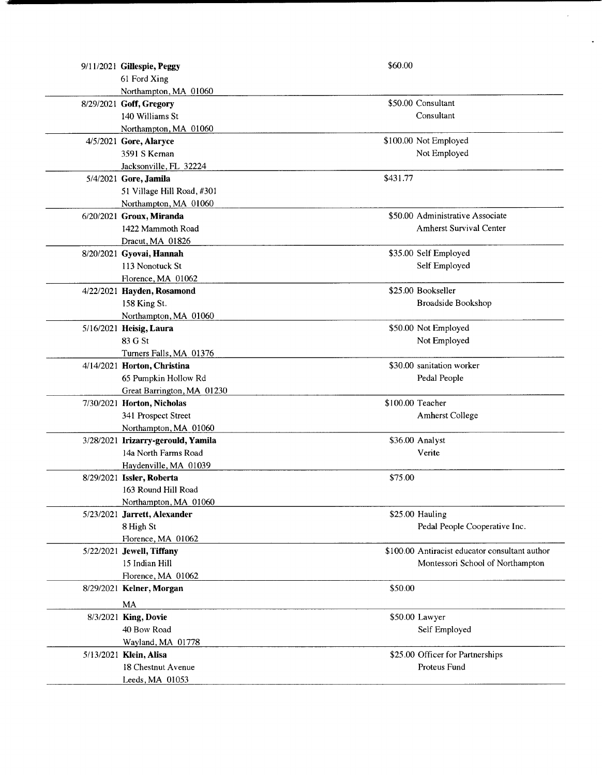| 9/11/2021 Gillespie, Peggy         | \$60.00          |                                                |
|------------------------------------|------------------|------------------------------------------------|
| 61 Ford Xing                       |                  |                                                |
| Northampton, MA 01060              |                  |                                                |
| 8/29/2021 Goff, Gregory            |                  | \$50.00 Consultant                             |
| 140 Williams St                    |                  | Consultant                                     |
| Northampton, MA 01060              |                  |                                                |
| 4/5/2021 Gore, Alaryce             |                  | \$100.00 Not Employed                          |
| 3591 S Kernan                      |                  | Not Employed                                   |
| Jacksonville, FL 32224             |                  |                                                |
| 5/4/2021 Gore, Jamila              | \$431.77         |                                                |
| 51 Village Hill Road, #301         |                  |                                                |
| Northampton, MA 01060              |                  |                                                |
| 6/20/2021 Groux, Miranda           |                  | \$50.00 Administrative Associate               |
| 1422 Mammoth Road                  |                  | <b>Amherst Survival Center</b>                 |
| Dracut, MA 01826                   |                  |                                                |
| 8/20/2021 Gyovai, Hannah           |                  | \$35.00 Self Employed                          |
| 113 Nonotuck St                    |                  | Self Employed                                  |
| Florence, MA 01062                 |                  |                                                |
| 4/22/2021 Hayden, Rosamond         |                  | \$25.00 Bookseller                             |
| 158 King St.                       |                  | Broadside Bookshop                             |
| Northampton, MA 01060              |                  |                                                |
| 5/16/2021 Heisig, Laura            |                  | \$50.00 Not Employed                           |
| 83 G St                            |                  | Not Employed                                   |
| Turners Falls, MA 01376            |                  |                                                |
| 4/14/2021 Horton, Christina        |                  | \$30.00 sanitation worker                      |
| 65 Pumpkin Hollow Rd               |                  | Pedal People                                   |
| Great Barrington, MA 01230         |                  |                                                |
| 7/30/2021 Horton, Nicholas         | \$100.00 Teacher |                                                |
| 341 Prospect Street                |                  | Amherst College                                |
| Northampton, MA 01060              |                  |                                                |
| 3/28/2021 Irizarry-gerould, Yamila |                  | \$36.00 Analyst                                |
| 14a North Farms Road               |                  | Verite                                         |
| Haydenville, MA 01039              |                  |                                                |
| 8/29/2021 Issler, Roberta          | \$75.00          |                                                |
| 163 Round Hill Road                |                  |                                                |
| Northampton, MA 01060              |                  |                                                |
| 5/23/2021 Jarrett, Alexander       |                  | \$25.00 Hauling                                |
| 8 High St                          |                  | Pedal People Cooperative Inc.                  |
| Florence, MA 01062                 |                  |                                                |
| 5/22/2021 Jewell, Tiffany          |                  | \$100.00 Antiracist educator consultant author |
| 15 Indian Hill                     |                  | Montessori School of Northampton               |
| Florence, MA 01062                 |                  |                                                |
| 8/29/2021 Kelner, Morgan           | \$50.00          |                                                |
| MA                                 |                  |                                                |
| 8/3/2021 King, Dovie               |                  | \$50.00 Lawyer                                 |
| 40 Bow Road                        |                  | Self Employed                                  |
| Wayland, MA 01778                  |                  |                                                |
| 5/13/2021 Klein, Alisa             |                  | \$25.00 Officer for Partnerships               |
| 18 Chestnut Avenue                 |                  | Proteus Fund                                   |
| Leeds, MA 01053                    |                  |                                                |
|                                    |                  |                                                |

 $\ddot{\phantom{0}}$ 

 $\ddot{\phantom{0}}$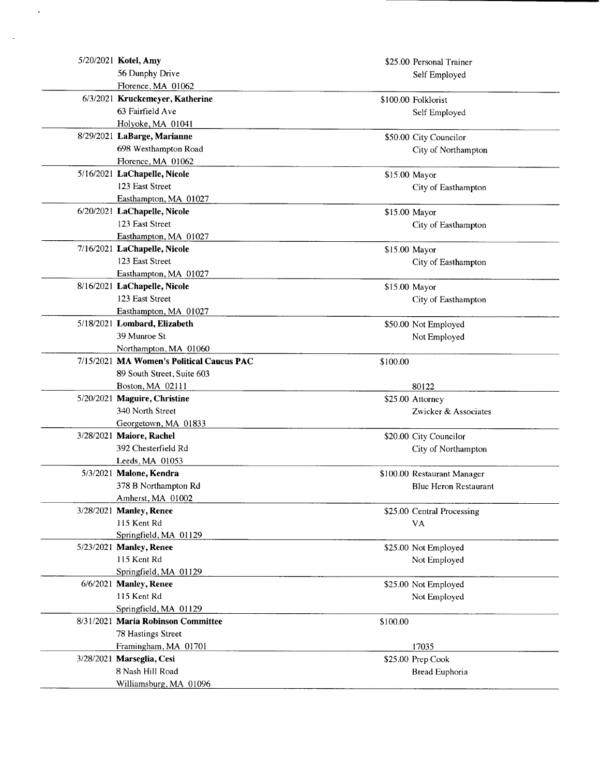| 5/20/2021 Kotel, Amy                            |          | \$25.00 Personal Trainer     |
|-------------------------------------------------|----------|------------------------------|
| 56 Dunphy Drive                                 |          | Self Employed                |
| Florence, MA 01062                              |          |                              |
| 6/3/2021 Kruckemeyer, Katherine                 |          | \$100.00 Folklorist          |
| 63 Fairfield Ave                                |          | Self Employed                |
| Holyoke, MA 01041                               |          |                              |
| 8/29/2021 LaBarge, Marianne                     |          | \$50.00 City Councilor       |
| 698 Westhampton Road                            |          | City of Northampton          |
| Florence, MA 01062                              |          |                              |
| 5/16/2021 LaChapelle, Nicole                    |          | \$15.00 Mayor                |
| 123 East Street                                 |          | City of Easthampton          |
| Easthampton, MA 01027                           |          |                              |
| 6/20/2021 LaChapelle, Nicole                    |          | \$15.00 Mayor                |
| 123 East Street                                 |          | City of Easthampton          |
| Easthampton, MA 01027                           |          |                              |
| 7/16/2021 LaChapelle, Nicole                    |          | \$15.00 Mayor                |
| 123 East Street                                 |          | City of Easthampton          |
| Easthampton, MA 01027                           |          |                              |
| 8/16/2021 LaChapelle, Nicole                    |          | \$15.00 Mayor                |
| 123 East Street                                 |          | City of Easthampton          |
| Easthampton, MA 01027                           |          |                              |
| 5/18/2021 Lombard, Elizabeth                    |          | \$50.00 Not Employed         |
| 39 Munroe St                                    |          | Not Employed                 |
| Northampton, MA 01060                           |          |                              |
| 7/15/2021 MA Women's Political Caucus PAC       | \$100.00 |                              |
| 89 South Street, Suite 603                      |          |                              |
| Boston, MA 02111                                |          | 80122                        |
| 5/20/2021 Maguire, Christine                    |          | \$25.00 Attorney             |
| 340 North Street                                |          | Zwicker & Associates         |
| Georgetown, MA 01833                            |          |                              |
| 3/28/2021 Maiore, Rachel<br>392 Chesterfield Rd |          | \$20.00 City Councilor       |
| Leeds, MA 01053                                 |          | City of Northampton          |
| 5/3/2021 Malone, Kendra                         |          | \$100.00 Restaurant Manager  |
| 378 B Northampton Rd                            |          | <b>Blue Heron Restaurant</b> |
| Amherst, MA 01002                               |          |                              |
| 3/28/2021 Manley, Renee                         |          | \$25.00 Central Processing   |
| 115 Kent Rd                                     |          | <b>VA</b>                    |
| Springfield, MA 01129                           |          |                              |
| 5/23/2021 Manley, Renee                         |          | \$25.00 Not Employed         |
| 115 Kent Rd                                     |          | Not Employed                 |
| Springfield, MA 01129                           |          |                              |
| 6/6/2021 Manley, Renee                          |          | \$25.00 Not Employed         |
| 115 Kent Rd                                     |          | Not Employed                 |
| Springfield, MA 01129                           |          |                              |
| 8/31/2021 Maria Robinson Committee              | \$100.00 |                              |
| 78 Hastings Street                              |          |                              |
| Framingham, MA 01701                            |          | 17035                        |
| 3/28/2021 Marseglia, Cesi                       |          | \$25.00 Prep Cook            |
| 8 Nash Hill Road                                |          | Bread Euphoria               |
| Williamsburg, MA 01096                          |          |                              |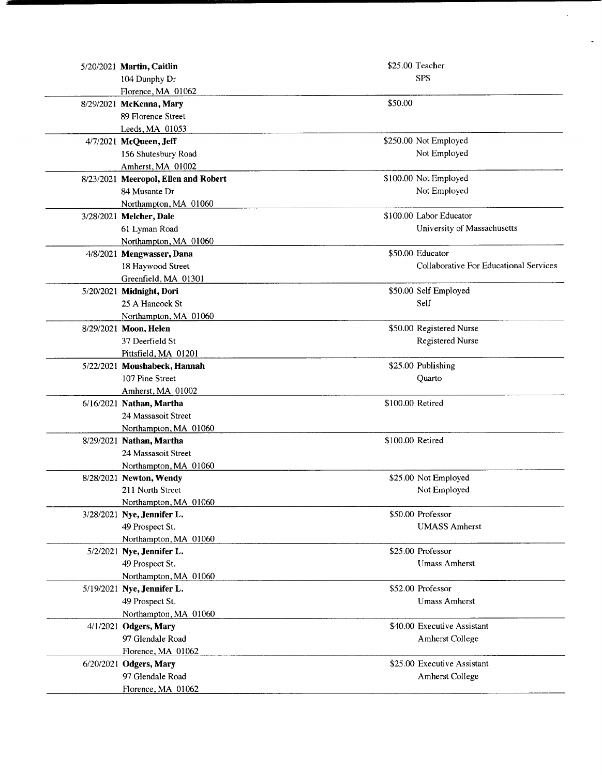| 5/20/2021 Martin, Caitlin            |                  | \$25.00 Teacher                        |
|--------------------------------------|------------------|----------------------------------------|
| 104 Dunphy Dr                        |                  | <b>SPS</b>                             |
| Florence, MA 01062                   |                  |                                        |
| 8/29/2021 McKenna, Mary              | \$50.00          |                                        |
| 89 Florence Street                   |                  |                                        |
| Leeds, MA 01053                      |                  |                                        |
| 4/7/2021 McQueen, Jeff               |                  | \$250.00 Not Employed                  |
| 156 Shutesbury Road                  |                  | Not Employed                           |
| Amherst, MA 01002                    |                  |                                        |
| 8/23/2021 Meeropol, Ellen and Robert |                  | \$100.00 Not Employed                  |
| 84 Musante Dr                        |                  | Not Employed                           |
| Northampton, MA 01060                |                  |                                        |
| 3/28/2021 Melcher, Dale              |                  | \$100.00 Labor Educator                |
| 61 Lyman Road                        |                  | University of Massachusetts            |
| Northampton, MA 01060                |                  |                                        |
| 4/8/2021 Mengwasser, Dana            |                  | \$50.00 Educator                       |
| 18 Haywood Street                    |                  | Collaborative For Educational Services |
| Greenfield, MA 01301                 |                  |                                        |
| 5/20/2021 Midnight, Dori             |                  | \$50.00 Self Employed                  |
| 25 A Hancock St                      |                  | Self                                   |
| Northampton, MA 01060                |                  |                                        |
| 8/29/2021 Moon, Helen                |                  | \$50.00 Registered Nurse               |
| 37 Deerfield St                      |                  | <b>Registered Nurse</b>                |
| Pittsfield, MA 01201                 |                  |                                        |
| 5/22/2021 Moushabeck, Hannah         |                  | \$25.00 Publishing                     |
| 107 Pine Street                      |                  | Quarto                                 |
| Amherst, MA 01002                    |                  |                                        |
| 6/16/2021 Nathan, Martha             | \$100.00 Retired |                                        |
| 24 Massasoit Street                  |                  |                                        |
| Northampton, MA 01060                |                  |                                        |
| 8/29/2021 Nathan, Martha             | \$100.00 Retired |                                        |
| 24 Massasoit Street                  |                  |                                        |
| Northampton, MA 01060                |                  |                                        |
| 8/28/2021 Newton, Wendy              |                  | \$25.00 Not Employed                   |
| 211 North Street                     |                  | Not Employed                           |
| Northampton, MA 01060                |                  |                                        |
| 3/28/2021 Nye, Jennifer L.           |                  | \$50.00 Professor                      |
| 49 Prospect St.                      |                  | <b>UMASS Amherst</b>                   |
| Northampton, MA 01060                |                  |                                        |
| 5/2/2021 Nye, Jennifer L.            |                  | \$25.00 Professor                      |
| 49 Prospect St.                      |                  | <b>Umass Amherst</b>                   |
| Northampton, MA 01060                |                  |                                        |
| 5/19/2021 Nye, Jennifer L.           |                  | \$52.00 Professor                      |
| 49 Prospect St.                      |                  | <b>Umass Amherst</b>                   |
| Northampton, MA 01060                |                  |                                        |
| 4/1/2021 Odgers, Mary                |                  | \$40.00 Executive Assistant            |
| 97 Glendale Road                     |                  | <b>Amherst College</b>                 |
| Florence, MA 01062                   |                  |                                        |
| 6/20/2021 Odgers, Mary               |                  | \$25.00 Executive Assistant            |
| 97 Glendale Road                     |                  | Amherst College                        |
| Florence, MA 01062                   |                  |                                        |

 $\overline{\phantom{a}}$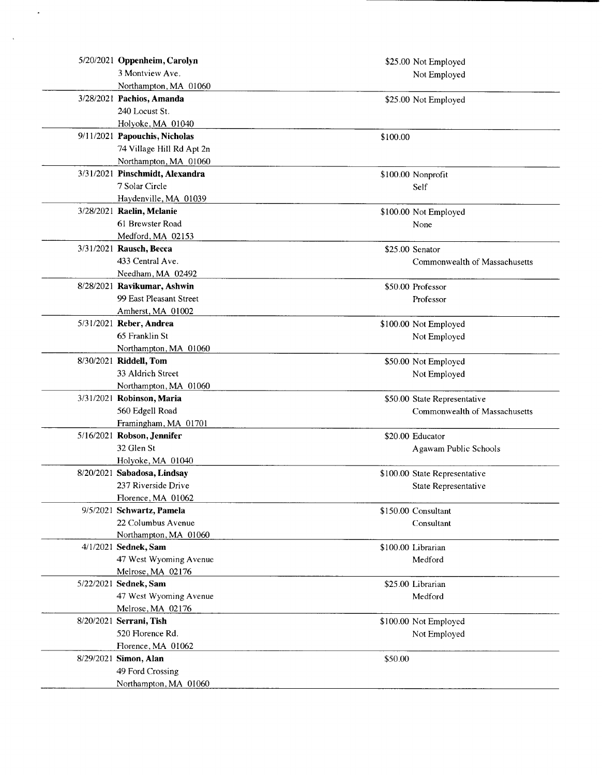| 5/20/2021 Oppenheim, Carolyn    |          | \$25.00 Not Employed          |
|---------------------------------|----------|-------------------------------|
| 3 Montview Ave.                 |          | Not Employed                  |
| Northampton, MA 01060           |          |                               |
| 3/28/2021 Pachios, Amanda       |          | \$25.00 Not Employed          |
| 240 Locust St.                  |          |                               |
| Holyoke, MA 01040               |          |                               |
| 9/11/2021 Papouchis, Nicholas   | \$100.00 |                               |
| 74 Village Hill Rd Apt 2n       |          |                               |
| Northampton, MA 01060           |          |                               |
| 3/31/2021 Pinschmidt, Alexandra |          | \$100.00 Nonprofit            |
| 7 Solar Circle                  |          | Self                          |
| Haydenville, MA 01039           |          |                               |
| 3/28/2021 Raelin, Melanie       |          | \$100.00 Not Employed         |
| 61 Brewster Road                |          | None                          |
| Medford, MA 02153               |          |                               |
| 3/31/2021 Rausch, Becca         |          | \$25.00 Senator               |
| 433 Central Ave.                |          | Commonwealth of Massachusetts |
| Needham, MA 02492               |          |                               |
| 8/28/2021 Ravikumar, Ashwin     |          | \$50.00 Professor             |
| 99 East Pleasant Street         |          | Professor                     |
| Amherst, MA 01002               |          |                               |
| 5/31/2021 Reber, Andrea         |          | \$100.00 Not Employed         |
| 65 Franklin St                  |          | Not Employed                  |
| Northampton, MA 01060           |          |                               |
| 8/30/2021 Riddell, Tom          |          | \$50.00 Not Employed          |
| 33 Aldrich Street               |          | Not Employed                  |
| Northampton, MA 01060           |          |                               |
| 3/31/2021 Robinson, Maria       |          | \$50.00 State Representative  |
| 560 Edgell Road                 |          | Commonwealth of Massachusetts |
| Framingham, MA 01701            |          |                               |
| 5/16/2021 Robson, Jennifer      |          | \$20.00 Educator              |
| 32 Glen St                      |          | Agawam Public Schools         |
| Holyoke, MA 01040               |          |                               |
| 8/20/2021 Sabadosa, Lindsay     |          | \$100.00 State Representative |
| 237 Riverside Drive             |          | State Representative          |
| Florence, MA 01062              |          |                               |
| 9/5/2021 Schwartz, Pamela       |          | \$150.00 Consultant           |
| 22 Columbus Avenue              |          | Consultant                    |
| Northampton, MA 01060           |          |                               |
| 4/1/2021 Sednek, Sam            |          | \$100.00 Librarian            |
| 47 West Wyoming Avenue          |          | Medford                       |
| Melrose, MA 02176               |          |                               |
| 5/22/2021 Sednek, Sam           |          | \$25.00 Librarian             |
| 47 West Wyoming Avenue          |          | Medford                       |
| Melrose, MA 02176               |          |                               |
| 8/20/2021 Serrani, Tish         |          | \$100.00 Not Employed         |
| 520 Florence Rd.                |          | Not Employed                  |
| Florence, MA 01062              |          |                               |
| 8/29/2021 Simon, Alan           | \$50.00  |                               |
| 49 Ford Crossing                |          |                               |
| Northampton, MA 01060           |          |                               |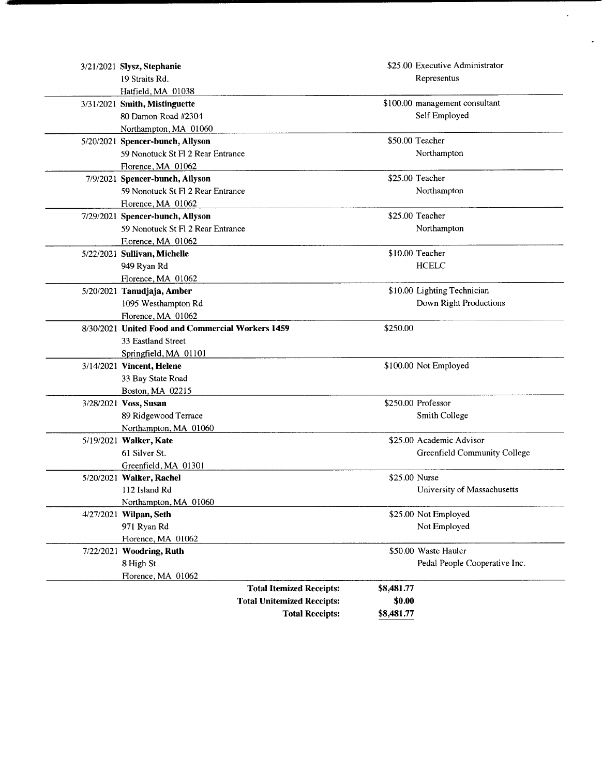| 3/21/2021 Slysz, Stephanie                        |               | \$25.00 Executive Administrator |
|---------------------------------------------------|---------------|---------------------------------|
| 19 Straits Rd.                                    |               | Representus                     |
| Hatfield, MA 01038                                |               |                                 |
| 3/31/2021 Smith, Mistinguette                     |               | \$100.00 management consultant  |
| 80 Damon Road #2304                               |               | Self Employed                   |
| Northampton, MA 01060                             |               |                                 |
| 5/20/2021 Spencer-bunch, Allyson                  |               | \$50.00 Teacher                 |
| 59 Nonotuck St Fl 2 Rear Entrance                 |               | Northampton                     |
| Florence, MA 01062                                |               |                                 |
| 7/9/2021 Spencer-bunch, Allyson                   |               | \$25.00 Teacher                 |
| 59 Nonotuck St Fl 2 Rear Entrance                 |               | Northampton                     |
| Florence, MA 01062                                |               |                                 |
| 7/29/2021 Spencer-bunch, Allyson                  |               | \$25.00 Teacher                 |
| 59 Nonotuck St Fl 2 Rear Entrance                 |               | Northampton                     |
| Florence, MA 01062                                |               |                                 |
| 5/22/2021 Sullivan, Michelle                      |               | \$10.00 Teacher                 |
| 949 Ryan Rd                                       |               | <b>HCELC</b>                    |
| Florence, MA 01062                                |               |                                 |
| 5/20/2021 Tanudjaja, Amber                        |               | \$10.00 Lighting Technician     |
| 1095 Westhampton Rd                               |               | Down Right Productions          |
| Florence, MA 01062                                |               |                                 |
| 8/30/2021 United Food and Commercial Workers 1459 | \$250.00      |                                 |
| 33 Eastland Street                                |               |                                 |
| Springfield, MA 01101                             |               |                                 |
| 3/14/2021 Vincent, Helene                         |               | \$100.00 Not Employed           |
| 33 Bay State Road                                 |               |                                 |
| Boston, MA 02215                                  |               |                                 |
| 3/28/2021 Voss, Susan                             |               | \$250.00 Professor              |
| 89 Ridgewood Terrace                              |               | Smith College                   |
| Northampton, MA 01060                             |               |                                 |
| 5/19/2021 Walker, Kate                            |               | \$25.00 Academic Advisor        |
| 61 Silver St.                                     |               | Greenfield Community College    |
| Greenfield, MA 01301                              |               |                                 |
| 5/20/2021 Walker, Rachel                          | \$25.00 Nurse |                                 |
| 112 Island Rd                                     |               | University of Massachusetts     |
| Northampton, MA 01060                             |               |                                 |
| 4/27/2021 Wilpan, Seth                            |               | \$25.00 Not Employed            |
| 971 Ryan Rd                                       |               | Not Employed                    |
| Florence, MA 01062                                |               |                                 |
| 7/22/2021 Woodring, Ruth                          |               | \$50.00 Waste Hauler            |
| 8 High St                                         |               | Pedal People Cooperative Inc.   |
| Florence, MA 01062                                |               |                                 |
| <b>Total Itemized Receipts:</b>                   | \$8,481.77    |                                 |
| <b>Total Unitemized Receipts:</b>                 | \$0.00        |                                 |
| <b>Total Receipts:</b>                            | \$8,481.77    |                                 |

 $\hat{\mathbf{r}}$ 

 $\mathbf{v}$ 

gimow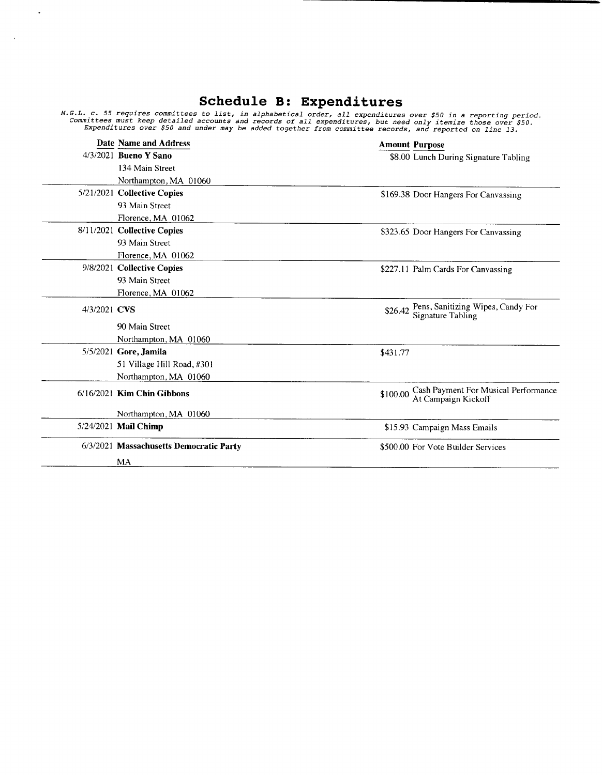## Schedule B: Expenditures

 $\mathcal{A}$ 

 $\ddot{\phantom{a}}$ 

M.G.L. c. 55 requires committees to list, in alphabetical order, all expenditures over \$50 in a reporting perio<br>Committees must keep detailed accounts and records of all expenditures, but need only itemize those over \$50.<br>

|              | Date Name and Address                   | <b>Amount Purpose</b>                                                   |
|--------------|-----------------------------------------|-------------------------------------------------------------------------|
|              | 4/3/2021 Bueno Y Sano                   | \$8.00 Lunch During Signature Tabling                                   |
|              | 134 Main Street                         |                                                                         |
|              | Northampton, MA 01060                   |                                                                         |
|              | 5/21/2021 Collective Copies             | \$169.38 Door Hangers For Canvassing                                    |
|              | 93 Main Street                          |                                                                         |
|              | Florence, MA 01062                      |                                                                         |
|              | 8/11/2021 Collective Copies             | \$323.65 Door Hangers For Canvassing                                    |
|              | 93 Main Street                          |                                                                         |
|              | Florence, MA 01062                      |                                                                         |
|              | 9/8/2021 Collective Copies              | \$227.11 Palm Cards For Canvassing                                      |
|              | 93 Main Street                          |                                                                         |
|              | Florence, MA 01062                      |                                                                         |
| 4/3/2021 CVS |                                         | Pens, Sanitizing Wipes, Candy For<br>Signature Tabling<br>\$26.42       |
|              | 90 Main Street                          |                                                                         |
|              | Northampton, MA 01060                   |                                                                         |
|              | 5/5/2021 Gore, Jamila                   | \$431.77                                                                |
|              | 51 Village Hill Road, #301              |                                                                         |
|              | Northampton, MA 01060                   |                                                                         |
|              | 6/16/2021 Kim Chin Gibbons              | Cash Payment For Musical Performance<br>At Campaign Kickoff<br>\$100.00 |
|              | Northampton, MA 01060                   |                                                                         |
|              | 5/24/2021 Mail Chimp                    | \$15.93 Campaign Mass Emails                                            |
|              | 6/3/2021 Massachusetts Democratic Party | \$500.00 For Vote Builder Services                                      |
|              | MA                                      |                                                                         |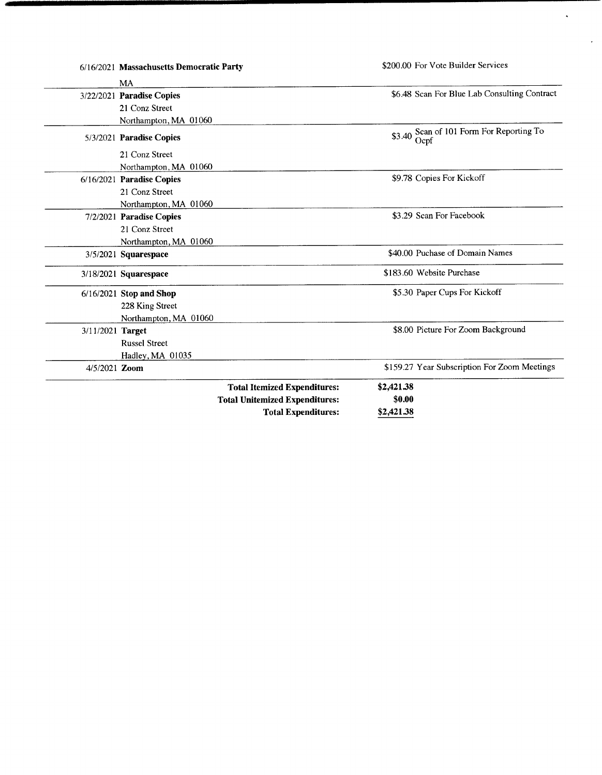|                  |                                            | <b>Total Expenditures:</b>                                                   | \$2,421.38           |                                              |
|------------------|--------------------------------------------|------------------------------------------------------------------------------|----------------------|----------------------------------------------|
|                  |                                            | <b>Total Itemized Expenditures:</b><br><b>Total Unitemized Expenditures:</b> | \$2,421.38<br>\$0.00 |                                              |
| 4/5/2021 Zoom    |                                            |                                                                              |                      | \$159.27 Year Subscription For Zoom Meetings |
|                  | Hadley, MA 01035                           |                                                                              |                      |                                              |
|                  | <b>Russel Street</b>                       |                                                                              |                      |                                              |
| 3/11/2021 Target |                                            |                                                                              |                      | \$8.00 Picture For Zoom Background           |
|                  | Northampton, MA 01060                      |                                                                              |                      |                                              |
|                  | 228 King Street                            |                                                                              |                      |                                              |
|                  | 6/16/2021 Stop and Shop                    |                                                                              |                      | \$5.30 Paper Cups For Kickoff                |
|                  | 3/18/2021 Squarespace                      |                                                                              |                      | \$183.60 Website Purchase                    |
|                  | 3/5/2021 Squarespace                       |                                                                              |                      | \$40.00 Puchase of Domain Names              |
|                  | Northampton, MA 01060                      |                                                                              |                      |                                              |
|                  | 21 Conz Street                             |                                                                              |                      |                                              |
|                  | 7/2/2021 Paradise Copies                   |                                                                              |                      | \$3.29 Scan For Facebook                     |
|                  | Northampton, MA 01060                      |                                                                              |                      |                                              |
|                  | 21 Conz Street                             |                                                                              |                      |                                              |
|                  | 6/16/2021 Paradise Copies                  |                                                                              |                      | \$9.78 Copies For Kickoff                    |
|                  | Northampton, MA 01060                      |                                                                              |                      |                                              |
|                  | 5/3/2021 Paradise Copies<br>21 Conz Street |                                                                              | \$3.40               | Scan of 101 Form For Reporting To<br>Ocpf    |
|                  | Northampton, MA 01060                      |                                                                              |                      |                                              |
|                  | 21 Conz Street                             |                                                                              |                      |                                              |
|                  | 3/22/2021 Paradise Copies                  |                                                                              |                      | \$6.48 Scan For Blue Lab Consulting Contract |
|                  | MA                                         |                                                                              |                      |                                              |
|                  | 6/16/2021 Massachusetts Democratic Party   |                                                                              |                      | \$200.00 For Vote Builder Services           |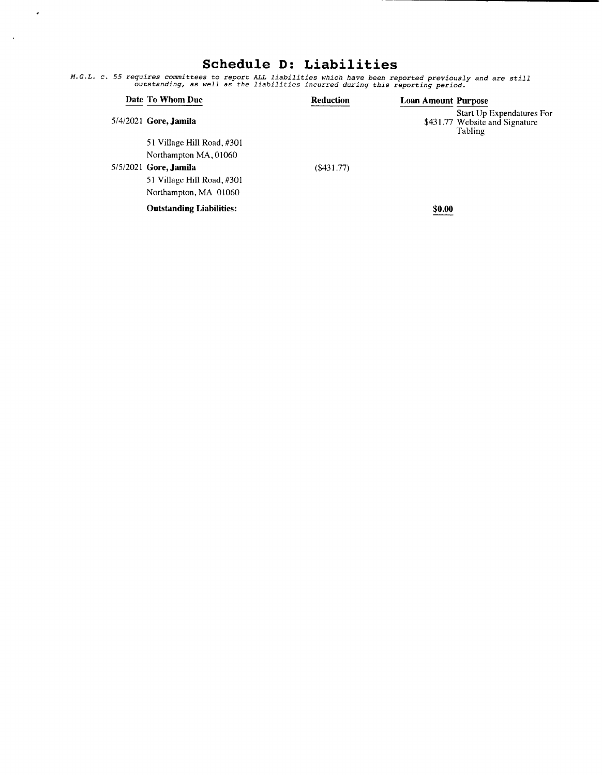## Schedule D: Liabilities

 $\sim$   $\sim$ 

 $\sim 10^6$ 

M. G. L. c. 55 requires committees to report ALL liabilities which have been reported previously and are still outstanding, as well as the liabilities incurred during this reporting period.

|  | Date To Whom Due                | <b>Reduction</b> | <b>Loan Amount Purpose</b> |                                                                        |
|--|---------------------------------|------------------|----------------------------|------------------------------------------------------------------------|
|  | 5/4/2021 Gore, Jamila           |                  |                            | Start Up Expendatures For<br>\$431.77 Website and Signature<br>Tabling |
|  | 51 Village Hill Road, #301      |                  |                            |                                                                        |
|  | Northampton MA, 01060           |                  |                            |                                                                        |
|  | 5/5/2021 Gore, Jamila           | ( \$431.77)      |                            |                                                                        |
|  | 51 Village Hill Road, #301      |                  |                            |                                                                        |
|  | Northampton, MA 01060           |                  |                            |                                                                        |
|  | <b>Outstanding Liabilities:</b> |                  | \$0.00                     |                                                                        |